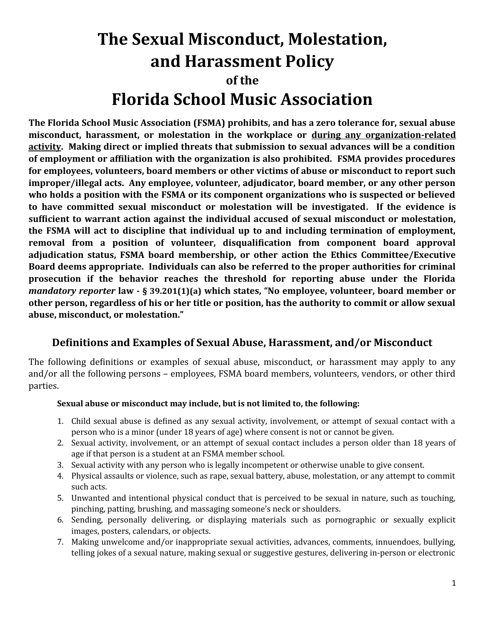# **The Sexual Misconduct, Molestation, and Harassment Policy of the Florida School Music Association**

**The Florida School Music Association (FSMA) prohibits, and has a zero tolerance for, sexual abuse misconduct, harassment, or molestation in the workplace or during any organization-related activity. Making direct or implied threats that submission to sexual advances will be a condition of employment or affiliation with the organization is also prohibited. FSMA provides procedures for employees, volunteers, board members or other victims of abuse or misconduct to report such improper/illegal acts. Any employee, volunteer, adjudicator, board member, or any other person who holds a position with the FSMA or its component organizations who is suspected or believed to have committed sexual misconduct or molestation will be investigated.****If the evidence is sufficient to warrant action against the individual accused of sexual misconduct or molestation, the FSMA will act to discipline that individual up to and including termination of employment, removal from a position of volunteer, disqualification from component board approval adjudication status, FSMA board membership, or other action the Ethics Committee/Executive Board deems appropriate. Individuals can also be referred to the proper authorities for criminal prosecution if the behavior reaches the threshold for reporting abuse under the Florida** *mandatory reporter* **law - § 39.201(1)(a) which states, "No employee, volunteer, board member or other person, regardless of his or her title or position, has the authority to commit or allow sexual abuse, misconduct, or molestation."**

#### **Definitions and Examples of Sexual Abuse, Harassment, and/or Misconduct**

The following definitions or examples of sexual abuse, misconduct, or harassment may apply to any and/or all the following persons – employees, FSMA board members, volunteers, vendors, or other third parties.

#### **Sexual abuse or misconduct may include, but is not limited to, the following:**

- 1. Child sexual abuse is defined as any sexual activity, involvement, or attempt of sexual contact with a person who is a minor (under 18 years of age) where consent is not or cannot be given.
- 2. Sexual activity, involvement, or an attempt of sexual contact includes a person older than 18 years of age if that person is a student at an FSMA member school.
- 3. Sexual activity with any person who is legally incompetent or otherwise unable to give consent.
- 4. Physical assaults or violence, such as rape, sexual battery, abuse, molestation, or any attempt to commit such acts.
- 5. Unwanted and intentional physical conduct that is perceived to be sexual in nature, such as touching, pinching, patting, brushing, and massaging someone's neck or shoulders.
- 6. Sending, personally delivering, or displaying materials such as pornographic or sexually explicit images, posters, calendars, or objects.
- 7. Making unwelcome and/or inappropriate sexual activities, advances, comments, innuendoes, bullying, telling jokes of a sexual nature, making sexual or suggestive gestures, delivering in-person or electronic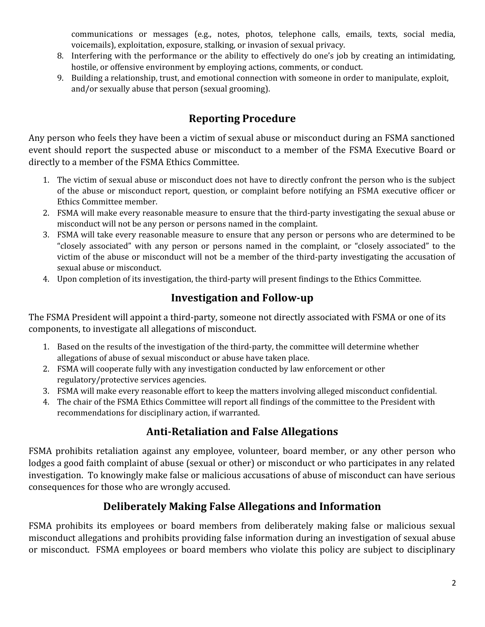communications or messages (e.g., notes, photos, telephone calls, emails, texts, social media, voicemails), exploitation, exposure, stalking, or invasion of sexual privacy.

- 8. Interfering with the performance or the ability to effectively do one's job by creating an intimidating, hostile, or offensive environment by employing actions, comments, or conduct.
- 9. Building a relationship, trust, and emotional connection with someone in order to manipulate, exploit, and/or sexually abuse that person (sexual grooming).

#### **Reporting Procedure**

Any person who feels they have been a victim of sexual abuse or misconduct during an FSMA sanctioned event should report the suspected abuse or misconduct to a member of the FSMA Executive Board or directly to a member of the FSMA Ethics Committee.

- 1. The victim of sexual abuse or misconduct does not have to directly confront the person who is the subject of the abuse or misconduct report, question, or complaint before notifying an FSMA executive officer or Ethics Committee member.
- 2. FSMA will make every reasonable measure to ensure that the third-party investigating the sexual abuse or misconduct will not be any person or persons named in the complaint.
- 3. FSMA will take every reasonable measure to ensure that any person or persons who are determined to be "closely associated" with any person or persons named in the complaint, or "closely associated" to the victim of the abuse or misconduct will not be a member of the third-party investigating the accusation of sexual abuse or misconduct.
- 4. Upon completion of its investigation, the third-party will present findings to the Ethics Committee.

#### **Investigation and Follow-up**

The FSMA President will appoint a third-party, someone not directly associated with FSMA or one of its components, to investigate all allegations of misconduct.

- 1. Based on the results of the investigation of the third-party, the committee will determine whether allegations of abuse of sexual misconduct or abuse have taken place.
- 2. FSMA will cooperate fully with any investigation conducted by law enforcement or other regulatory/protective services agencies.
- 3. FSMA will make every reasonable effort to keep the matters involving alleged misconduct confidential.
- 4. The chair of the FSMA Ethics Committee will report all findings of the committee to the President with recommendations for disciplinary action, if warranted.

#### **Anti-Retaliation and False Allegations**

FSMA prohibits retaliation against any employee, volunteer, board member, or any other person who lodges a good faith complaint of abuse (sexual or other) or misconduct or who participates in any related investigation. To knowingly make false or malicious accusations of abuse of misconduct can have serious consequences for those who are wrongly accused.

#### **Deliberately Making False Allegations and Information**

FSMA prohibits its employees or board members from deliberately making false or malicious sexual misconduct allegations and prohibits providing false information during an investigation of sexual abuse or misconduct. FSMA employees or board members who violate this policy are subject to disciplinary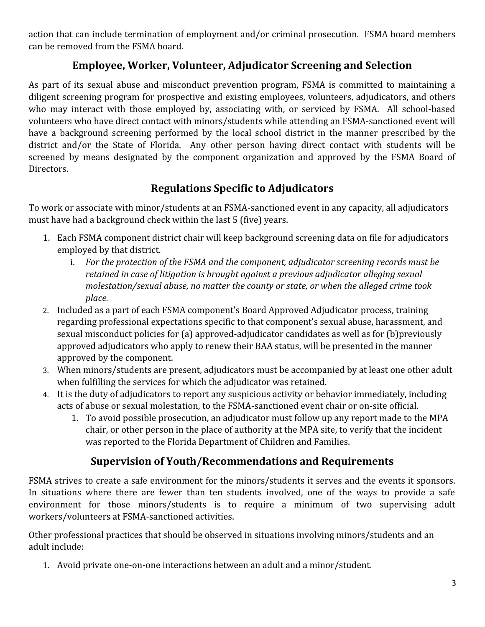action that can include termination of employment and/or criminal prosecution. FSMA board members can be removed from the FSMA board.

#### **Employee, Worker, Volunteer, Adjudicator Screening and Selection**

As part of its sexual abuse and misconduct prevention program, FSMA is committed to maintaining a diligent screening program for prospective and existing employees, volunteers, adjudicators, and others who may interact with those employed by, associating with, or serviced by FSMA. All school-based volunteers who have direct contact with minors/students while attending an FSMA-sanctioned event will have a background screening performed by the local school district in the manner prescribed by the district and/or the State of Florida. Any other person having direct contact with students will be screened by means designated by the component organization and approved by the FSMA Board of Directors.

#### **Regulations Specific to Adjudicators**

To work or associate with minor/students at an FSMA-sanctioned event in any capacity, all adjudicators must have had a background check within the last 5 (five) years.

- 1. Each FSMA component district chair will keep background screening data on file for adjudicators employed by that district.
	- i. *For the protection of the FSMA and the component, adjudicator screening records must be retained in case of litigation is brought against a previous adjudicator alleging sexual molestation/sexual abuse, no matter the county or state, or when the alleged crime took place.*
- 2. Included as a part of each FSMA component's Board Approved Adjudicator process, training regarding professional expectations specific to that component's sexual abuse, harassment, and sexual misconduct policies for (a) approved-adjudicator candidates as well as for (b)previously approved adjudicators who apply to renew their BAA status, will be presented in the manner approved by the component.
- 3. When minors/students are present, adjudicators must be accompanied by at least one other adult when fulfilling the services for which the adjudicator was retained.
- 4. It is the duty of adjudicators to report any suspicious activity or behavior immediately, including acts of abuse or sexual molestation, to the FSMA-sanctioned event chair or on-site official.
	- 1. To avoid possible prosecution, an adjudicator must follow up any report made to the MPA chair, or other person in the place of authority at the MPA site, to verify that the incident was reported to the Florida Department of Children and Families.

#### **Supervision of Youth/Recommendations and Requirements**

FSMA strives to create a safe environment for the minors/students it serves and the events it sponsors. In situations where there are fewer than ten students involved, one of the ways to provide a safe environment for those minors/students is to require a minimum of two supervising adult workers/volunteers at FSMA-sanctioned activities.

Other professional practices that should be observed in situations involving minors/students and an adult include:

1. Avoid private one-on-one interactions between an adult and a minor/student.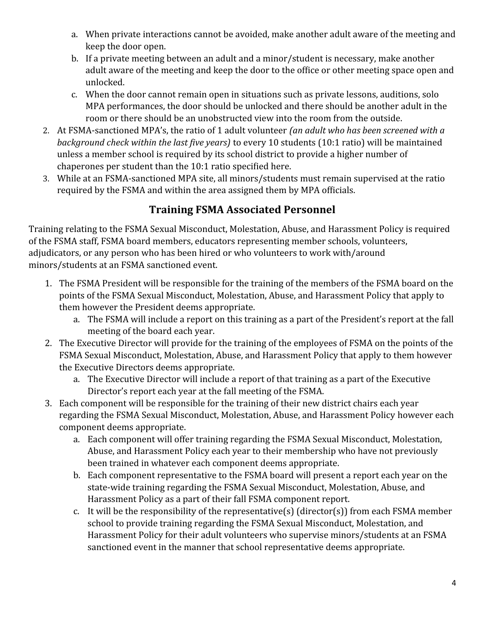- a. When private interactions cannot be avoided, make another adult aware of the meeting and keep the door open.
- b. If a private meeting between an adult and a minor/student is necessary, make another adult aware of the meeting and keep the door to the office or other meeting space open and unlocked.
- c. When the door cannot remain open in situations such as private lessons, auditions, solo MPA performances, the door should be unlocked and there should be another adult in the room or there should be an unobstructed view into the room from the outside.
- 2. At FSMA-sanctioned MPA's, the ratio of 1 adult volunteer *(an adult who has been screened with a background check within the last five years)* to every 10 students (10:1 ratio) will be maintained unless a member school is required by its school district to provide a higher number of chaperones per student than the 10:1 ratio specified here.
- 3. While at an FSMA-sanctioned MPA site, all minors/students must remain supervised at the ratio required by the FSMA and within the area assigned them by MPA officials.

#### **Training FSMA Associated Personnel**

Training relating to the FSMA Sexual Misconduct, Molestation, Abuse, and Harassment Policy is required of the FSMA staff, FSMA board members, educators representing member schools, volunteers, adjudicators, or any person who has been hired or who volunteers to work with/around minors/students at an FSMA sanctioned event.

- 1. The FSMA President will be responsible for the training of the members of the FSMA board on the points of the FSMA Sexual Misconduct, Molestation, Abuse, and Harassment Policy that apply to them however the President deems appropriate.
	- a. The FSMA will include a report on this training as a part of the President's report at the fall meeting of the board each year.
- 2. The Executive Director will provide for the training of the employees of FSMA on the points of the FSMA Sexual Misconduct, Molestation, Abuse, and Harassment Policy that apply to them however the Executive Directors deems appropriate.
	- a. The Executive Director will include a report of that training as a part of the Executive Director's report each year at the fall meeting of the FSMA.
- 3. Each component will be responsible for the training of their new district chairs each year regarding the FSMA Sexual Misconduct, Molestation, Abuse, and Harassment Policy however each component deems appropriate.
	- a. Each component will offer training regarding the FSMA Sexual Misconduct, Molestation, Abuse, and Harassment Policy each year to their membership who have not previously been trained in whatever each component deems appropriate.
	- b. Each component representative to the FSMA board will present a report each year on the state-wide training regarding the FSMA Sexual Misconduct, Molestation, Abuse, and Harassment Policy as a part of their fall FSMA component report.
	- c. It will be the responsibility of the representative(s) (director(s)) from each FSMA member school to provide training regarding the FSMA Sexual Misconduct, Molestation, and Harassment Policy for their adult volunteers who supervise minors/students at an FSMA sanctioned event in the manner that school representative deems appropriate.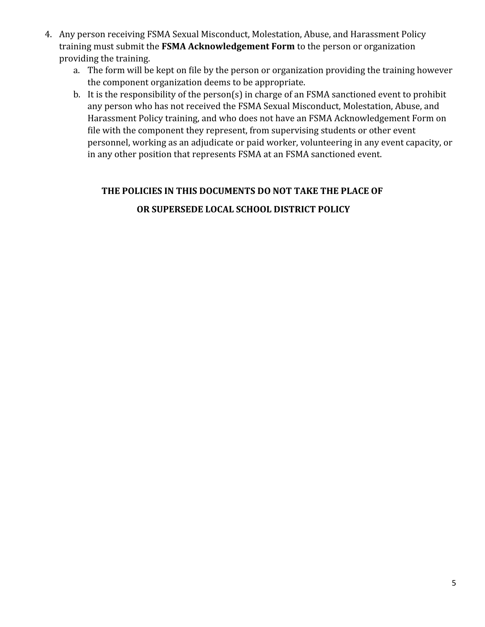- 4. Any person receiving FSMA Sexual Misconduct, Molestation, Abuse, and Harassment Policy training must submit the **FSMA Acknowledgement Form** to the person or organization providing the training.
	- a. The form will be kept on file by the person or organization providing the training however the component organization deems to be appropriate.
	- b. It is the responsibility of the person(s) in charge of an FSMA sanctioned event to prohibit any person who has not received the FSMA Sexual Misconduct, Molestation, Abuse, and Harassment Policy training, and who does not have an FSMA Acknowledgement Form on file with the component they represent, from supervising students or other event personnel, working as an adjudicate or paid worker, volunteering in any event capacity, or in any other position that represents FSMA at an FSMA sanctioned event.

### **THE POLICIES IN THIS DOCUMENTS DO NOT TAKE THE PLACE OF OR SUPERSEDE LOCAL SCHOOL DISTRICT POLICY**